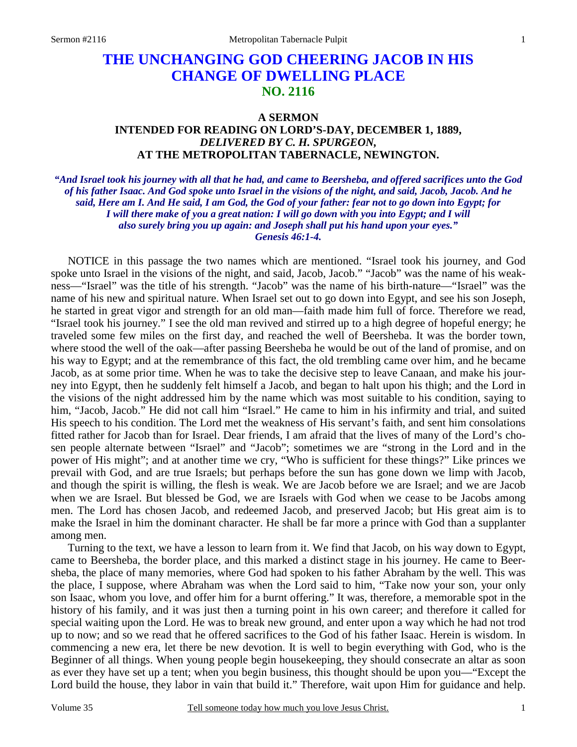## **THE UNCHANGING GOD CHEERING JACOB IN HIS CHANGE OF DWELLING PLACE NO. 2116**

## **A SERMON INTENDED FOR READING ON LORD'S-DAY, DECEMBER 1, 1889,**  *DELIVERED BY C. H. SPURGEON,*  **AT THE METROPOLITAN TABERNACLE, NEWINGTON.**

*"And Israel took his journey with all that he had, and came to Beersheba, and offered sacrifices unto the God of his father Isaac. And God spoke unto Israel in the visions of the night, and said, Jacob, Jacob. And he said, Here am I. And He said, I am God, the God of your father: fear not to go down into Egypt; for I will there make of you a great nation: I will go down with you into Egypt; and I will also surely bring you up again: and Joseph shall put his hand upon your eyes." Genesis 46:1-4.* 

NOTICE in this passage the two names which are mentioned. "Israel took his journey, and God spoke unto Israel in the visions of the night, and said, Jacob, Jacob." "Jacob" was the name of his weakness—"Israel" was the title of his strength. "Jacob" was the name of his birth-nature—"Israel" was the name of his new and spiritual nature. When Israel set out to go down into Egypt, and see his son Joseph, he started in great vigor and strength for an old man—faith made him full of force. Therefore we read, "Israel took his journey." I see the old man revived and stirred up to a high degree of hopeful energy; he traveled some few miles on the first day, and reached the well of Beersheba. It was the border town, where stood the well of the oak—after passing Beersheba he would be out of the land of promise, and on his way to Egypt; and at the remembrance of this fact, the old trembling came over him, and he became Jacob, as at some prior time. When he was to take the decisive step to leave Canaan, and make his journey into Egypt, then he suddenly felt himself a Jacob, and began to halt upon his thigh; and the Lord in the visions of the night addressed him by the name which was most suitable to his condition, saying to him, "Jacob, Jacob." He did not call him "Israel." He came to him in his infirmity and trial, and suited His speech to his condition. The Lord met the weakness of His servant's faith, and sent him consolations fitted rather for Jacob than for Israel. Dear friends, I am afraid that the lives of many of the Lord's chosen people alternate between "Israel" and "Jacob"; sometimes we are "strong in the Lord and in the power of His might"; and at another time we cry, "Who is sufficient for these things?" Like princes we prevail with God, and are true Israels; but perhaps before the sun has gone down we limp with Jacob, and though the spirit is willing, the flesh is weak. We are Jacob before we are Israel; and we are Jacob when we are Israel. But blessed be God, we are Israels with God when we cease to be Jacobs among men. The Lord has chosen Jacob, and redeemed Jacob, and preserved Jacob; but His great aim is to make the Israel in him the dominant character. He shall be far more a prince with God than a supplanter among men.

Turning to the text, we have a lesson to learn from it. We find that Jacob, on his way down to Egypt, came to Beersheba, the border place, and this marked a distinct stage in his journey. He came to Beersheba, the place of many memories, where God had spoken to his father Abraham by the well. This was the place, I suppose, where Abraham was when the Lord said to him, "Take now your son, your only son Isaac, whom you love, and offer him for a burnt offering." It was, therefore, a memorable spot in the history of his family, and it was just then a turning point in his own career; and therefore it called for special waiting upon the Lord. He was to break new ground, and enter upon a way which he had not trod up to now; and so we read that he offered sacrifices to the God of his father Isaac. Herein is wisdom. In commencing a new era, let there be new devotion. It is well to begin everything with God, who is the Beginner of all things. When young people begin housekeeping, they should consecrate an altar as soon as ever they have set up a tent; when you begin business, this thought should be upon you—"Except the Lord build the house, they labor in vain that build it." Therefore, wait upon Him for guidance and help.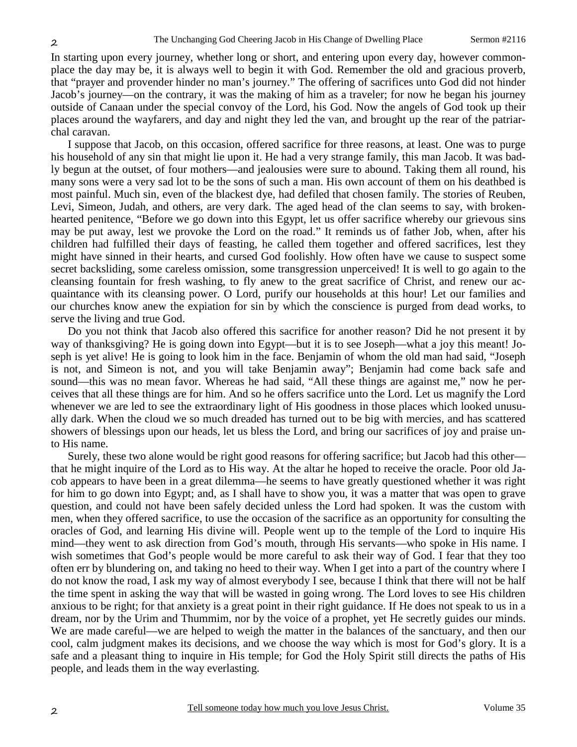In starting upon every journey, whether long or short, and entering upon every day, however commonplace the day may be, it is always well to begin it with God. Remember the old and gracious proverb, that "prayer and provender hinder no man's journey." The offering of sacrifices unto God did not hinder Jacob's journey—on the contrary, it was the making of him as a traveler; for now he began his journey outside of Canaan under the special convoy of the Lord, his God. Now the angels of God took up their places around the wayfarers, and day and night they led the van, and brought up the rear of the patriarchal caravan.

I suppose that Jacob, on this occasion, offered sacrifice for three reasons, at least. One was to purge his household of any sin that might lie upon it. He had a very strange family, this man Jacob. It was badly begun at the outset, of four mothers—and jealousies were sure to abound. Taking them all round, his many sons were a very sad lot to be the sons of such a man. His own account of them on his deathbed is most painful. Much sin, even of the blackest dye, had defiled that chosen family. The stories of Reuben, Levi, Simeon, Judah, and others, are very dark. The aged head of the clan seems to say, with brokenhearted penitence, "Before we go down into this Egypt, let us offer sacrifice whereby our grievous sins may be put away, lest we provoke the Lord on the road." It reminds us of father Job, when, after his children had fulfilled their days of feasting, he called them together and offered sacrifices, lest they might have sinned in their hearts, and cursed God foolishly. How often have we cause to suspect some secret backsliding, some careless omission, some transgression unperceived! It is well to go again to the cleansing fountain for fresh washing, to fly anew to the great sacrifice of Christ, and renew our acquaintance with its cleansing power. O Lord, purify our households at this hour! Let our families and our churches know anew the expiation for sin by which the conscience is purged from dead works, to serve the living and true God.

Do you not think that Jacob also offered this sacrifice for another reason? Did he not present it by way of thanksgiving? He is going down into Egypt—but it is to see Joseph—what a joy this meant! Joseph is yet alive! He is going to look him in the face. Benjamin of whom the old man had said, "Joseph is not, and Simeon is not, and you will take Benjamin away"; Benjamin had come back safe and sound—this was no mean favor. Whereas he had said, "All these things are against me," now he perceives that all these things are for him. And so he offers sacrifice unto the Lord. Let us magnify the Lord whenever we are led to see the extraordinary light of His goodness in those places which looked unusually dark. When the cloud we so much dreaded has turned out to be big with mercies, and has scattered showers of blessings upon our heads, let us bless the Lord, and bring our sacrifices of joy and praise unto His name.

Surely, these two alone would be right good reasons for offering sacrifice; but Jacob had this other that he might inquire of the Lord as to His way. At the altar he hoped to receive the oracle. Poor old Jacob appears to have been in a great dilemma—he seems to have greatly questioned whether it was right for him to go down into Egypt; and, as I shall have to show you, it was a matter that was open to grave question, and could not have been safely decided unless the Lord had spoken. It was the custom with men, when they offered sacrifice, to use the occasion of the sacrifice as an opportunity for consulting the oracles of God, and learning His divine will. People went up to the temple of the Lord to inquire His mind—they went to ask direction from God's mouth, through His servants—who spoke in His name. I wish sometimes that God's people would be more careful to ask their way of God. I fear that they too often err by blundering on, and taking no heed to their way. When I get into a part of the country where I do not know the road, I ask my way of almost everybody I see, because I think that there will not be half the time spent in asking the way that will be wasted in going wrong. The Lord loves to see His children anxious to be right; for that anxiety is a great point in their right guidance. If He does not speak to us in a dream, nor by the Urim and Thummim, nor by the voice of a prophet, yet He secretly guides our minds. We are made careful—we are helped to weigh the matter in the balances of the sanctuary, and then our cool, calm judgment makes its decisions, and we choose the way which is most for God's glory. It is a safe and a pleasant thing to inquire in His temple; for God the Holy Spirit still directs the paths of His people, and leads them in the way everlasting.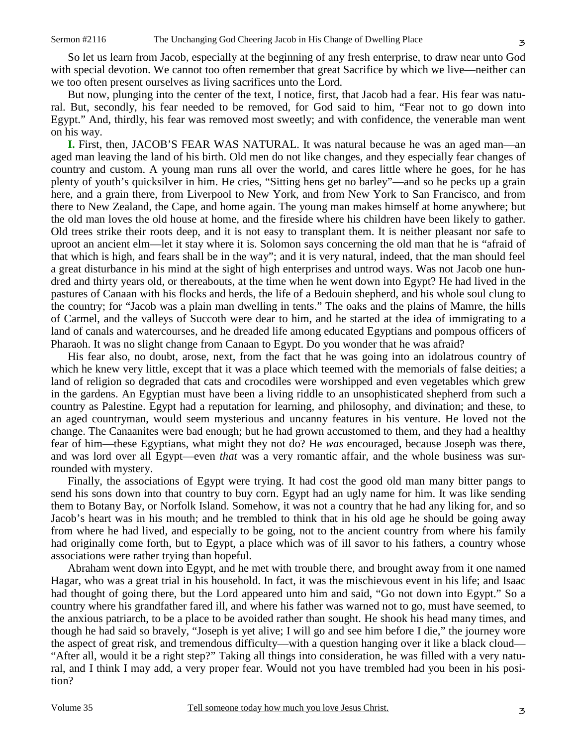So let us learn from Jacob, especially at the beginning of any fresh enterprise, to draw near unto God with special devotion. We cannot too often remember that great Sacrifice by which we live—neither can we too often present ourselves as living sacrifices unto the Lord.

But now, plunging into the center of the text, I notice, first, that Jacob had a fear. His fear was natural. But, secondly, his fear needed to be removed, for God said to him, "Fear not to go down into Egypt." And, thirdly, his fear was removed most sweetly; and with confidence, the venerable man went on his way.

**I.** First, then, JACOB'S FEAR WAS NATURAL. It was natural because he was an aged man—an aged man leaving the land of his birth. Old men do not like changes, and they especially fear changes of country and custom. A young man runs all over the world, and cares little where he goes, for he has plenty of youth's quicksilver in him. He cries, "Sitting hens get no barley"—and so he pecks up a grain here, and a grain there, from Liverpool to New York, and from New York to San Francisco, and from there to New Zealand, the Cape, and home again. The young man makes himself at home anywhere; but the old man loves the old house at home, and the fireside where his children have been likely to gather. Old trees strike their roots deep, and it is not easy to transplant them. It is neither pleasant nor safe to uproot an ancient elm—let it stay where it is. Solomon says concerning the old man that he is "afraid of that which is high, and fears shall be in the way"; and it is very natural, indeed, that the man should feel a great disturbance in his mind at the sight of high enterprises and untrod ways. Was not Jacob one hundred and thirty years old, or thereabouts, at the time when he went down into Egypt? He had lived in the pastures of Canaan with his flocks and herds, the life of a Bedouin shepherd, and his whole soul clung to the country; for "Jacob was a plain man dwelling in tents." The oaks and the plains of Mamre, the hills of Carmel, and the valleys of Succoth were dear to him, and he started at the idea of immigrating to a land of canals and watercourses, and he dreaded life among educated Egyptians and pompous officers of Pharaoh. It was no slight change from Canaan to Egypt. Do you wonder that he was afraid?

His fear also, no doubt, arose, next, from the fact that he was going into an idolatrous country of which he knew very little, except that it was a place which teemed with the memorials of false deities; a land of religion so degraded that cats and crocodiles were worshipped and even vegetables which grew in the gardens. An Egyptian must have been a living riddle to an unsophisticated shepherd from such a country as Palestine. Egypt had a reputation for learning, and philosophy, and divination; and these, to an aged countryman, would seem mysterious and uncanny features in his venture. He loved not the change. The Canaanites were bad enough; but he had grown accustomed to them, and they had a healthy fear of him—these Egyptians, what might they not do? He *was* encouraged, because Joseph was there, and was lord over all Egypt—even *that* was a very romantic affair, and the whole business was surrounded with mystery.

Finally, the associations of Egypt were trying. It had cost the good old man many bitter pangs to send his sons down into that country to buy corn. Egypt had an ugly name for him. It was like sending them to Botany Bay, or Norfolk Island. Somehow, it was not a country that he had any liking for, and so Jacob's heart was in his mouth; and he trembled to think that in his old age he should be going away from where he had lived, and especially to be going, not to the ancient country from where his family had originally come forth, but to Egypt, a place which was of ill savor to his fathers, a country whose associations were rather trying than hopeful.

Abraham went down into Egypt, and he met with trouble there, and brought away from it one named Hagar, who was a great trial in his household. In fact, it was the mischievous event in his life; and Isaac had thought of going there, but the Lord appeared unto him and said, "Go not down into Egypt." So a country where his grandfather fared ill, and where his father was warned not to go, must have seemed, to the anxious patriarch, to be a place to be avoided rather than sought. He shook his head many times, and though he had said so bravely, "Joseph is yet alive; I will go and see him before I die," the journey wore the aspect of great risk, and tremendous difficulty—with a question hanging over it like a black cloud— "After all, would it be a right step?" Taking all things into consideration, he was filled with a very natural, and I think I may add, a very proper fear. Would not you have trembled had you been in his position?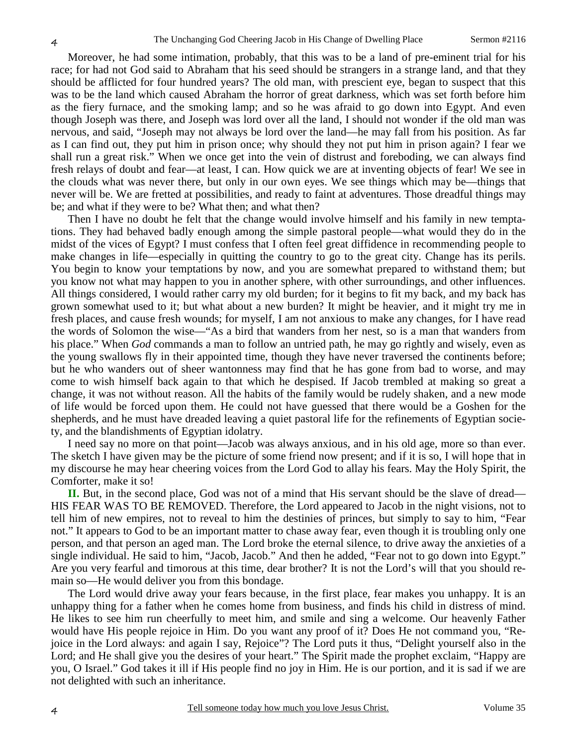Moreover, he had some intimation, probably, that this was to be a land of pre-eminent trial for his race; for had not God said to Abraham that his seed should be strangers in a strange land, and that they should be afflicted for four hundred years? The old man, with prescient eye, began to suspect that this was to be the land which caused Abraham the horror of great darkness, which was set forth before him as the fiery furnace, and the smoking lamp; and so he was afraid to go down into Egypt. And even though Joseph was there, and Joseph was lord over all the land, I should not wonder if the old man was nervous, and said, "Joseph may not always be lord over the land—he may fall from his position. As far as I can find out, they put him in prison once; why should they not put him in prison again? I fear we shall run a great risk." When we once get into the vein of distrust and foreboding, we can always find fresh relays of doubt and fear—at least, I can. How quick we are at inventing objects of fear! We see in the clouds what was never there, but only in our own eyes. We see things which may be—things that never will be. We are fretted at possibilities, and ready to faint at adventures. Those dreadful things may be; and what if they were to be? What then; and what then?

Then I have no doubt he felt that the change would involve himself and his family in new temptations. They had behaved badly enough among the simple pastoral people—what would they do in the midst of the vices of Egypt? I must confess that I often feel great diffidence in recommending people to make changes in life—especially in quitting the country to go to the great city. Change has its perils. You begin to know your temptations by now, and you are somewhat prepared to withstand them; but you know not what may happen to you in another sphere, with other surroundings, and other influences. All things considered, I would rather carry my old burden; for it begins to fit my back, and my back has grown somewhat used to it; but what about a new burden? It might be heavier, and it might try me in fresh places, and cause fresh wounds; for myself, I am not anxious to make any changes, for I have read the words of Solomon the wise—"As a bird that wanders from her nest, so is a man that wanders from his place." When *God* commands a man to follow an untried path, he may go rightly and wisely, even as the young swallows fly in their appointed time, though they have never traversed the continents before; but he who wanders out of sheer wantonness may find that he has gone from bad to worse, and may come to wish himself back again to that which he despised. If Jacob trembled at making so great a change, it was not without reason. All the habits of the family would be rudely shaken, and a new mode of life would be forced upon them. He could not have guessed that there would be a Goshen for the shepherds, and he must have dreaded leaving a quiet pastoral life for the refinements of Egyptian society, and the blandishments of Egyptian idolatry.

I need say no more on that point—Jacob was always anxious, and in his old age, more so than ever. The sketch I have given may be the picture of some friend now present; and if it is so, I will hope that in my discourse he may hear cheering voices from the Lord God to allay his fears. May the Holy Spirit, the Comforter, make it so!

**II.** But, in the second place, God was not of a mind that His servant should be the slave of dread— HIS FEAR WAS TO BE REMOVED. Therefore, the Lord appeared to Jacob in the night visions, not to tell him of new empires, not to reveal to him the destinies of princes, but simply to say to him, "Fear not." It appears to God to be an important matter to chase away fear, even though it is troubling only one person, and that person an aged man. The Lord broke the eternal silence, to drive away the anxieties of a single individual. He said to him, "Jacob, Jacob." And then he added, "Fear not to go down into Egypt." Are you very fearful and timorous at this time, dear brother? It is not the Lord's will that you should remain so—He would deliver you from this bondage.

The Lord would drive away your fears because, in the first place, fear makes you unhappy. It is an unhappy thing for a father when he comes home from business, and finds his child in distress of mind. He likes to see him run cheerfully to meet him, and smile and sing a welcome. Our heavenly Father would have His people rejoice in Him. Do you want any proof of it? Does He not command you, "Rejoice in the Lord always: and again I say, Rejoice"? The Lord puts it thus, "Delight yourself also in the Lord; and He shall give you the desires of your heart." The Spirit made the prophet exclaim, "Happy are you, O Israel." God takes it ill if His people find no joy in Him. He is our portion, and it is sad if we are not delighted with such an inheritance.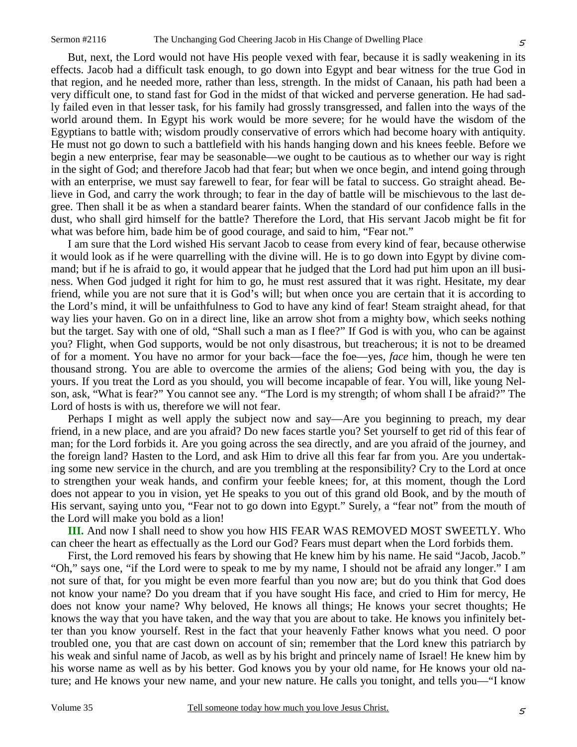5

But, next, the Lord would not have His people vexed with fear, because it is sadly weakening in its effects. Jacob had a difficult task enough, to go down into Egypt and bear witness for the true God in that region, and he needed more, rather than less, strength. In the midst of Canaan, his path had been a very difficult one, to stand fast for God in the midst of that wicked and perverse generation. He had sadly failed even in that lesser task, for his family had grossly transgressed, and fallen into the ways of the world around them. In Egypt his work would be more severe; for he would have the wisdom of the Egyptians to battle with; wisdom proudly conservative of errors which had become hoary with antiquity. He must not go down to such a battlefield with his hands hanging down and his knees feeble. Before we begin a new enterprise, fear may be seasonable—we ought to be cautious as to whether our way is right in the sight of God; and therefore Jacob had that fear; but when we once begin, and intend going through with an enterprise, we must say farewell to fear, for fear will be fatal to success. Go straight ahead. Believe in God, and carry the work through; to fear in the day of battle will be mischievous to the last degree. Then shall it be as when a standard bearer faints. When the standard of our confidence falls in the dust, who shall gird himself for the battle? Therefore the Lord, that His servant Jacob might be fit for what was before him, bade him be of good courage, and said to him, "Fear not."

I am sure that the Lord wished His servant Jacob to cease from every kind of fear, because otherwise it would look as if he were quarrelling with the divine will. He is to go down into Egypt by divine command; but if he is afraid to go, it would appear that he judged that the Lord had put him upon an ill business. When God judged it right for him to go, he must rest assured that it was right. Hesitate, my dear friend, while you are not sure that it is God's will; but when once you are certain that it is according to the Lord's mind, it will be unfaithfulness to God to have any kind of fear! Steam straight ahead, for that way lies your haven. Go on in a direct line, like an arrow shot from a mighty bow, which seeks nothing but the target. Say with one of old, "Shall such a man as I flee?" If God is with you, who can be against you? Flight, when God supports, would be not only disastrous, but treacherous; it is not to be dreamed of for a moment. You have no armor for your back—face the foe—yes, *face* him, though he were ten thousand strong. You are able to overcome the armies of the aliens; God being with you, the day is yours. If you treat the Lord as you should, you will become incapable of fear. You will, like young Nelson, ask, "What is fear?" You cannot see any. "The Lord is my strength; of whom shall I be afraid?" The Lord of hosts is with us, therefore we will not fear.

Perhaps I might as well apply the subject now and say—Are you beginning to preach, my dear friend, in a new place, and are you afraid? Do new faces startle you? Set yourself to get rid of this fear of man; for the Lord forbids it. Are you going across the sea directly, and are you afraid of the journey, and the foreign land? Hasten to the Lord, and ask Him to drive all this fear far from you. Are you undertaking some new service in the church, and are you trembling at the responsibility? Cry to the Lord at once to strengthen your weak hands, and confirm your feeble knees; for, at this moment, though the Lord does not appear to you in vision, yet He speaks to you out of this grand old Book, and by the mouth of His servant, saying unto you, "Fear not to go down into Egypt." Surely, a "fear not" from the mouth of the Lord will make you bold as a lion!

**III.** And now I shall need to show you how HIS FEAR WAS REMOVED MOST SWEETLY. Who can cheer the heart as effectually as the Lord our God? Fears must depart when the Lord forbids them.

First, the Lord removed his fears by showing that He knew him by his name. He said "Jacob, Jacob." "Oh," says one, "if the Lord were to speak to me by my name, I should not be afraid any longer." I am not sure of that, for you might be even more fearful than you now are; but do you think that God does not know your name? Do you dream that if you have sought His face, and cried to Him for mercy, He does not know your name? Why beloved, He knows all things; He knows your secret thoughts; He knows the way that you have taken, and the way that you are about to take. He knows you infinitely better than you know yourself. Rest in the fact that your heavenly Father knows what you need. O poor troubled one, you that are cast down on account of sin; remember that the Lord knew this patriarch by his weak and sinful name of Jacob, as well as by his bright and princely name of Israel! He knew him by his worse name as well as by his better. God knows you by your old name, for He knows your old nature; and He knows your new name, and your new nature. He calls you tonight, and tells you—"I know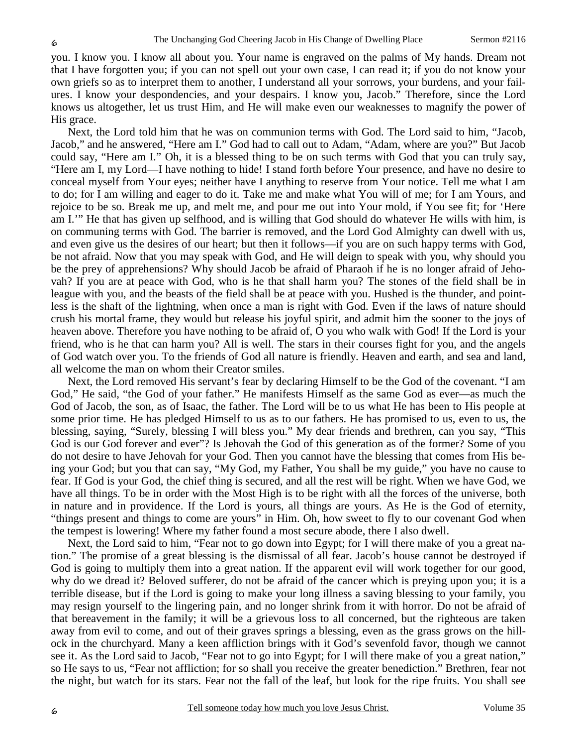you. I know you. I know all about you. Your name is engraved on the palms of My hands. Dream not that I have forgotten you; if you can not spell out your own case, I can read it; if you do not know your own griefs so as to interpret them to another, I understand all your sorrows, your burdens, and your failures. I know your despondencies, and your despairs. I know you, Jacob." Therefore, since the Lord knows us altogether, let us trust Him, and He will make even our weaknesses to magnify the power of His grace.

Next, the Lord told him that he was on communion terms with God. The Lord said to him, "Jacob, Jacob," and he answered, "Here am I." God had to call out to Adam, "Adam, where are you?" But Jacob could say, "Here am I." Oh, it is a blessed thing to be on such terms with God that you can truly say, "Here am I, my Lord—I have nothing to hide! I stand forth before Your presence, and have no desire to conceal myself from Your eyes; neither have I anything to reserve from Your notice. Tell me what I am to do; for I am willing and eager to do it. Take me and make what You will of me; for I am Yours, and rejoice to be so. Break me up, and melt me, and pour me out into Your mold, if You see fit; for 'Here am I.'" He that has given up selfhood, and is willing that God should do whatever He wills with him, is on communing terms with God. The barrier is removed, and the Lord God Almighty can dwell with us, and even give us the desires of our heart; but then it follows—if you are on such happy terms with God, be not afraid. Now that you may speak with God, and He will deign to speak with you, why should you be the prey of apprehensions? Why should Jacob be afraid of Pharaoh if he is no longer afraid of Jehovah? If you are at peace with God, who is he that shall harm you? The stones of the field shall be in league with you, and the beasts of the field shall be at peace with you. Hushed is the thunder, and pointless is the shaft of the lightning, when once a man is right with God. Even if the laws of nature should crush his mortal frame, they would but release his joyful spirit, and admit him the sooner to the joys of heaven above. Therefore you have nothing to be afraid of, O you who walk with God! If the Lord is your friend, who is he that can harm you? All is well. The stars in their courses fight for you, and the angels of God watch over you. To the friends of God all nature is friendly. Heaven and earth, and sea and land, all welcome the man on whom their Creator smiles.

Next, the Lord removed His servant's fear by declaring Himself to be the God of the covenant. "I am God," He said, "the God of your father." He manifests Himself as the same God as ever—as much the God of Jacob, the son, as of Isaac, the father. The Lord will be to us what He has been to His people at some prior time. He has pledged Himself to us as to our fathers. He has promised to us, even to us, the blessing, saying, "Surely, blessing I will bless you." My dear friends and brethren, can you say, "This God is our God forever and ever"? Is Jehovah the God of this generation as of the former? Some of you do not desire to have Jehovah for your God. Then you cannot have the blessing that comes from His being your God; but you that can say, "My God, my Father, You shall be my guide," you have no cause to fear. If God is your God, the chief thing is secured, and all the rest will be right. When we have God, we have all things. To be in order with the Most High is to be right with all the forces of the universe, both in nature and in providence. If the Lord is yours, all things are yours. As He is the God of eternity, "things present and things to come are yours" in Him. Oh, how sweet to fly to our covenant God when the tempest is lowering! Where my father found a most secure abode, there I also dwell.

Next, the Lord said to him, "Fear not to go down into Egypt; for I will there make of you a great nation." The promise of a great blessing is the dismissal of all fear. Jacob's house cannot be destroyed if God is going to multiply them into a great nation. If the apparent evil will work together for our good, why do we dread it? Beloved sufferer, do not be afraid of the cancer which is preying upon you; it is a terrible disease, but if the Lord is going to make your long illness a saving blessing to your family, you may resign yourself to the lingering pain, and no longer shrink from it with horror. Do not be afraid of that bereavement in the family; it will be a grievous loss to all concerned, but the righteous are taken away from evil to come, and out of their graves springs a blessing, even as the grass grows on the hillock in the churchyard. Many a keen affliction brings with it God's sevenfold favor, though we cannot see it. As the Lord said to Jacob, "Fear not to go into Egypt; for I will there make of you a great nation," so He says to us, "Fear not affliction; for so shall you receive the greater benediction." Brethren, fear not the night, but watch for its stars. Fear not the fall of the leaf, but look for the ripe fruits. You shall see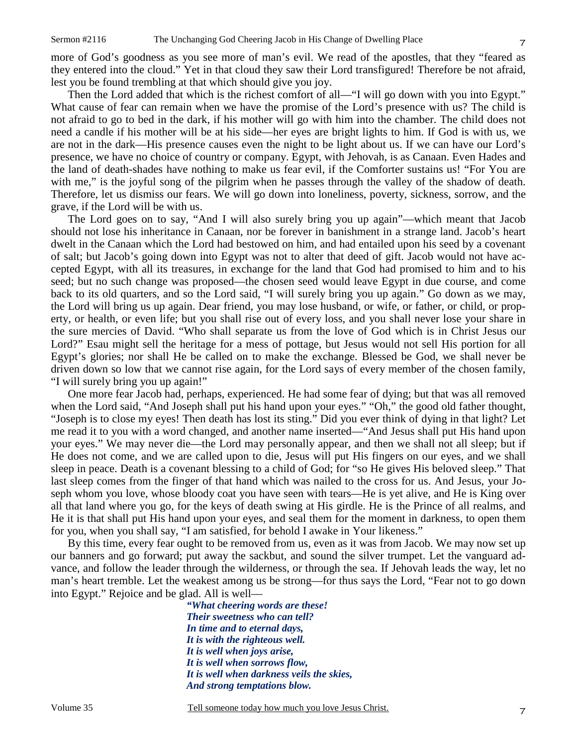more of God's goodness as you see more of man's evil. We read of the apostles, that they "feared as they entered into the cloud." Yet in that cloud they saw their Lord transfigured! Therefore be not afraid, lest you be found trembling at that which should give you joy.

Then the Lord added that which is the richest comfort of all—"I will go down with you into Egypt." What cause of fear can remain when we have the promise of the Lord's presence with us? The child is not afraid to go to bed in the dark, if his mother will go with him into the chamber. The child does not need a candle if his mother will be at his side—her eyes are bright lights to him. If God is with us, we are not in the dark—His presence causes even the night to be light about us. If we can have our Lord's presence, we have no choice of country or company. Egypt, with Jehovah, is as Canaan. Even Hades and the land of death-shades have nothing to make us fear evil, if the Comforter sustains us! "For You are with me," is the joyful song of the pilgrim when he passes through the valley of the shadow of death. Therefore, let us dismiss our fears. We will go down into loneliness, poverty, sickness, sorrow, and the grave, if the Lord will be with us.

The Lord goes on to say, "And I will also surely bring you up again"—which meant that Jacob should not lose his inheritance in Canaan, nor be forever in banishment in a strange land. Jacob's heart dwelt in the Canaan which the Lord had bestowed on him, and had entailed upon his seed by a covenant of salt; but Jacob's going down into Egypt was not to alter that deed of gift. Jacob would not have accepted Egypt, with all its treasures, in exchange for the land that God had promised to him and to his seed; but no such change was proposed—the chosen seed would leave Egypt in due course, and come back to its old quarters, and so the Lord said, "I will surely bring you up again." Go down as we may, the Lord will bring us up again. Dear friend, you may lose husband, or wife, or father, or child, or property, or health, or even life; but you shall rise out of every loss, and you shall never lose your share in the sure mercies of David. "Who shall separate us from the love of God which is in Christ Jesus our Lord?" Esau might sell the heritage for a mess of pottage, but Jesus would not sell His portion for all Egypt's glories; nor shall He be called on to make the exchange. Blessed be God, we shall never be driven down so low that we cannot rise again, for the Lord says of every member of the chosen family, "I will surely bring you up again!"

One more fear Jacob had, perhaps, experienced. He had some fear of dying; but that was all removed when the Lord said, "And Joseph shall put his hand upon your eyes." "Oh," the good old father thought, "Joseph is to close my eyes! Then death has lost its sting." Did you ever think of dying in that light? Let me read it to you with a word changed, and another name inserted—"And Jesus shall put His hand upon your eyes." We may never die—the Lord may personally appear, and then we shall not all sleep; but if He does not come, and we are called upon to die, Jesus will put His fingers on our eyes, and we shall sleep in peace. Death is a covenant blessing to a child of God; for "so He gives His beloved sleep." That last sleep comes from the finger of that hand which was nailed to the cross for us. And Jesus, your Joseph whom you love, whose bloody coat you have seen with tears—He is yet alive, and He is King over all that land where you go, for the keys of death swing at His girdle. He is the Prince of all realms, and He it is that shall put His hand upon your eyes, and seal them for the moment in darkness, to open them for you, when you shall say, "I am satisfied, for behold I awake in Your likeness."

By this time, every fear ought to be removed from us, even as it was from Jacob. We may now set up our banners and go forward; put away the sackbut, and sound the silver trumpet. Let the vanguard advance, and follow the leader through the wilderness, or through the sea. If Jehovah leads the way, let no man's heart tremble. Let the weakest among us be strong—for thus says the Lord, "Fear not to go down into Egypt." Rejoice and be glad. All is well—

> *"What cheering words are these! Their sweetness who can tell? In time and to eternal days, It is with the righteous well. It is well when joys arise, It is well when sorrows flow, It is well when darkness veils the skies, And strong temptations blow.*

Volume 35 Tell someone today how much you love Jesus Christ.